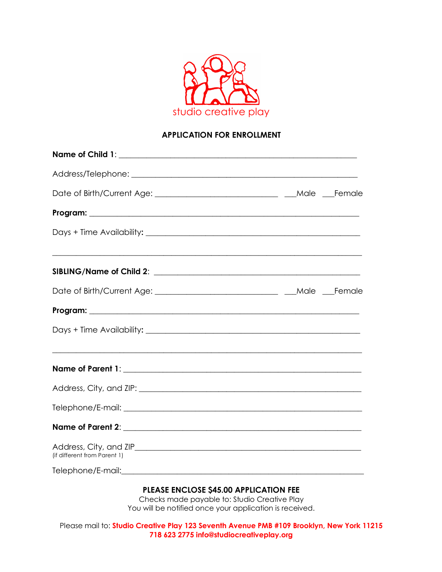

## **APPLICATION FOR ENROLLMENT**

| Date of Birth/Current Age: ___________________________________ ___Male ___Female |  |
|----------------------------------------------------------------------------------|--|
|                                                                                  |  |
|                                                                                  |  |
|                                                                                  |  |
|                                                                                  |  |
|                                                                                  |  |
|                                                                                  |  |
|                                                                                  |  |
|                                                                                  |  |
|                                                                                  |  |
|                                                                                  |  |
| (if different from Parent 1)                                                     |  |
|                                                                                  |  |
| <b>PLEASE ENCLOSE \$45.00 APPLICATION FEE</b>                                    |  |

Checks made payable to: Studio Creative Play You will be notified once your application is received.

Please mail to: **Studio Creative Play 123 Seventh Avenue PMB #109 Brooklyn, New York 11215 718 623 2775 info@studiocreativeplay.org**